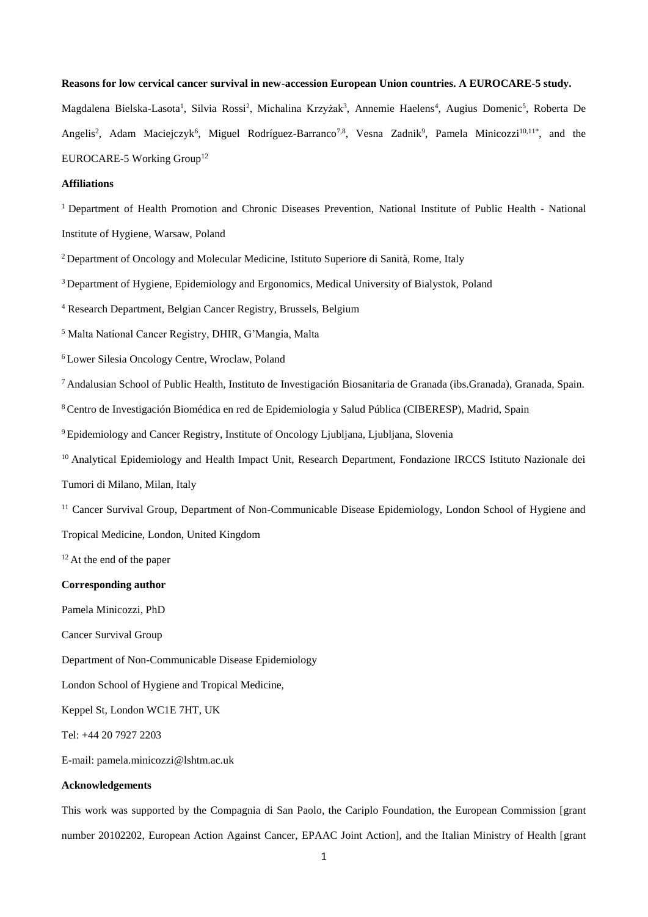## **Reasons for low cervical cancer survival in new-accession European Union countries. A EUROCARE-5 study.**

Magdalena Bielska-Lasota<sup>1</sup>, Silvia Rossi<sup>2</sup>, Michalina Krzyżak<sup>3</sup>, Annemie Haelens<sup>4</sup>, Augius Domenic<sup>5</sup>, Roberta De Angelis<sup>2</sup>, Adam Maciejczyk<sup>6</sup>, Miguel Rodríguez-Barranco<sup>7,8</sup>, Vesna Zadnik<sup>9</sup>, Pamela Minicozzi<sup>10,11\*</sup>, and the EUROCARE-5 Working Group<sup>12</sup>

# **Affiliations**

<sup>1</sup> Department of Health Promotion and Chronic Diseases Prevention, National Institute of Public Health - National Institute of Hygiene, Warsaw, Poland

<sup>2</sup> Department of Oncology and Molecular Medicine, Istituto Superiore di Sanità, Rome, Italy

<sup>3</sup> Department of Hygiene, Epidemiology and Ergonomics, Medical University of Bialystok, Poland

<sup>4</sup> Research Department, Belgian Cancer Registry, Brussels, Belgium

<sup>5</sup> Malta National Cancer Registry, DHIR, G'Mangia, Malta

<sup>6</sup> Lower Silesia Oncology Centre, Wroclaw, Poland

<sup>7</sup> Andalusian School of Public Health, Instituto de Investigación Biosanitaria de Granada (ibs.Granada), Granada, Spain.

<sup>8</sup> Centro de Investigación Biomédica en red de Epidemiologia y Salud Pública (CIBERESP), Madrid, Spain

<sup>9</sup> Epidemiology and Cancer Registry, Institute of Oncology Ljubljana, Ljubljana, Slovenia

<sup>10</sup> Analytical Epidemiology and Health Impact Unit, Research Department, Fondazione IRCCS Istituto Nazionale dei

Tumori di Milano, Milan, Italy

<sup>11</sup> Cancer Survival Group, Department of Non-Communicable Disease Epidemiology, London School of Hygiene and Tropical Medicine, London, United Kingdom

 $12$  At the end of the paper

## **Corresponding author**

Pamela Minicozzi, PhD

Cancer Survival Group

Department of Non-Communicable Disease Epidemiology

London School of Hygiene and Tropical Medicine,

Keppel St, London WC1E 7HT, UK

Tel: +44 20 7927 2203

E-mail: pamela.minicozzi@lshtm.ac.uk

# **Acknowledgements**

This work was supported by the Compagnia di San Paolo, the Cariplo Foundation, the European Commission [grant number 20102202, European Action Against Cancer, EPAAC Joint Action], and the Italian Ministry of Health [grant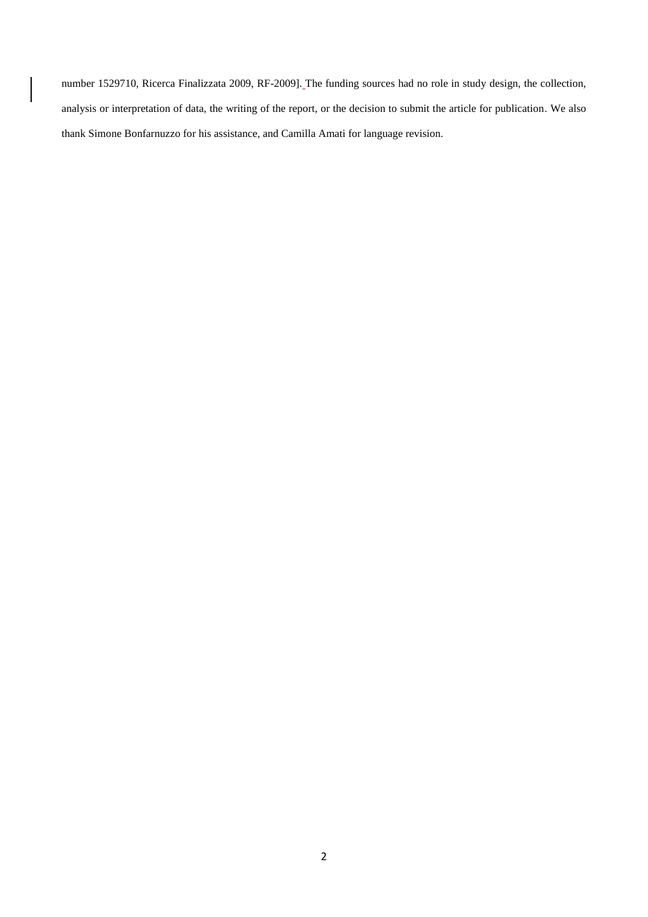number 1529710, Ricerca Finalizzata 2009, RF-2009]. The funding sources had no role in study design, the collection, analysis or interpretation of data, the writing of the report, or the decision to submit the article for publication. We also thank Simone Bonfarnuzzo for his assistance, and Camilla Amati for language revision.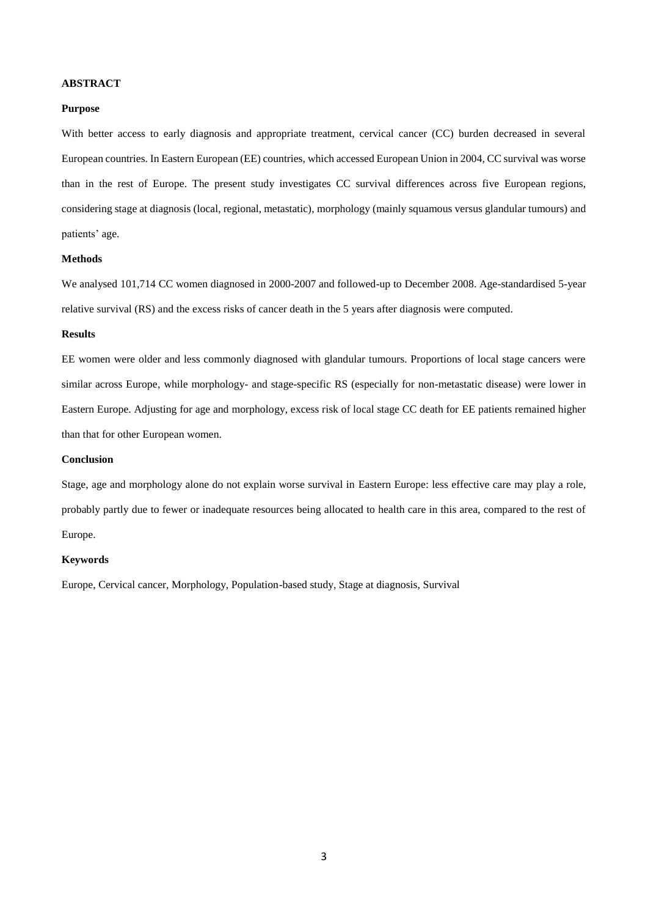# **ABSTRACT**

# **Purpose**

With better access to early diagnosis and appropriate treatment, cervical cancer (CC) burden decreased in several European countries. In Eastern European (EE) countries, which accessed European Union in 2004, CC survival was worse than in the rest of Europe. The present study investigates CC survival differences across five European regions, considering stage at diagnosis (local, regional, metastatic), morphology (mainly squamous versus glandular tumours) and patients' age.

## **Methods**

We analysed 101,714 CC women diagnosed in 2000-2007 and followed-up to December 2008. Age-standardised 5-year relative survival (RS) and the excess risks of cancer death in the 5 years after diagnosis were computed.

## **Results**

EE women were older and less commonly diagnosed with glandular tumours. Proportions of local stage cancers were similar across Europe, while morphology- and stage-specific RS (especially for non-metastatic disease) were lower in Eastern Europe. Adjusting for age and morphology, excess risk of local stage CC death for EE patients remained higher than that for other European women.

# **Conclusion**

Stage, age and morphology alone do not explain worse survival in Eastern Europe: less effective care may play a role, probably partly due to fewer or inadequate resources being allocated to health care in this area, compared to the rest of Europe.

# **Keywords**

Europe, Cervical cancer, Morphology, Population-based study, Stage at diagnosis, Survival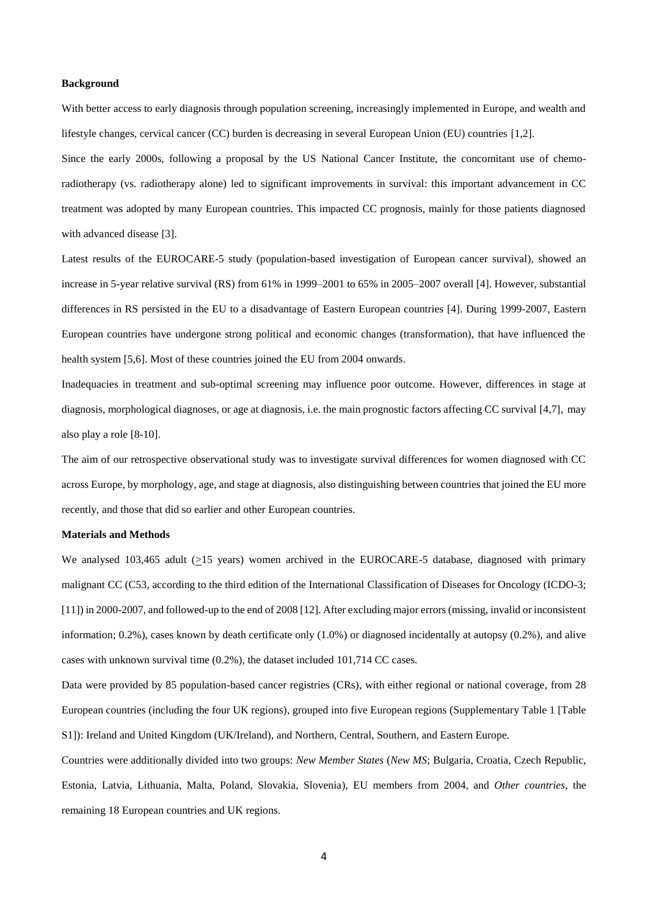# **Background**

With better access to early diagnosis through population screening, increasingly implemented in Europe, and wealth and lifestyle changes, cervical cancer (CC) burden is decreasing in several European Union (EU) countries [1,2].

Since the early 2000s, following a proposal by the US National Cancer Institute, the concomitant use of chemoradiotherapy (vs. radiotherapy alone) led to significant improvements in survival: this important advancement in CC treatment was adopted by many European countries. This impacted CC prognosis, mainly for those patients diagnosed with advanced disease [3].

Latest results of the EUROCARE-5 study (population-based investigation of European cancer survival), showed an increase in 5-year relative survival (RS) from 61% in 1999–2001 to 65% in 2005–2007 overall [4]. However, substantial differences in RS persisted in the EU to a disadvantage of Eastern European countries [4]. During 1999-2007, Eastern European countries have undergone strong political and economic changes (transformation), that have influenced the health system [5,6]. Most of these countries joined the EU from 2004 onwards.

Inadequacies in treatment and sub-optimal screening may influence poor outcome. However, differences in stage at diagnosis, morphological diagnoses, or age at diagnosis, i.e. the main prognostic factors affecting CC survival [4,7], may also play a role [8-10].

The aim of our retrospective observational study was to investigate survival differences for women diagnosed with CC across Europe, by morphology, age, and stage at diagnosis, also distinguishing between countries that joined the EU more recently, and those that did so earlier and other European countries.

## **Materials and Methods**

We analysed 103,465 adult (>15 years) women archived in the EUROCARE-5 database, diagnosed with primary malignant CC (C53, according to the third edition of the International Classification of Diseases for Oncology (ICDO-3; [11]) in 2000-2007, and followed-up to the end of 2008 [12]. After excluding major errors (missing, invalid or inconsistent information; 0.2%), cases known by death certificate only (1.0%) or diagnosed incidentally at autopsy (0.2%), and alive cases with unknown survival time (0.2%), the dataset included 101,714 CC cases.

Data were provided by 85 population-based cancer registries (CRs), with either regional or national coverage, from 28 European countries (including the four UK regions), grouped into five European regions (Supplementary Table 1 [Table S1]): Ireland and United Kingdom (UK/Ireland), and Northern, Central, Southern, and Eastern Europe.

Countries were additionally divided into two groups: *New Member States* (*New MS*; Bulgaria, Croatia, Czech Republic, Estonia, Latvia, Lithuania, Malta, Poland, Slovakia, Slovenia), EU members from 2004, and *Other countries,* the remaining 18 European countries and UK regions.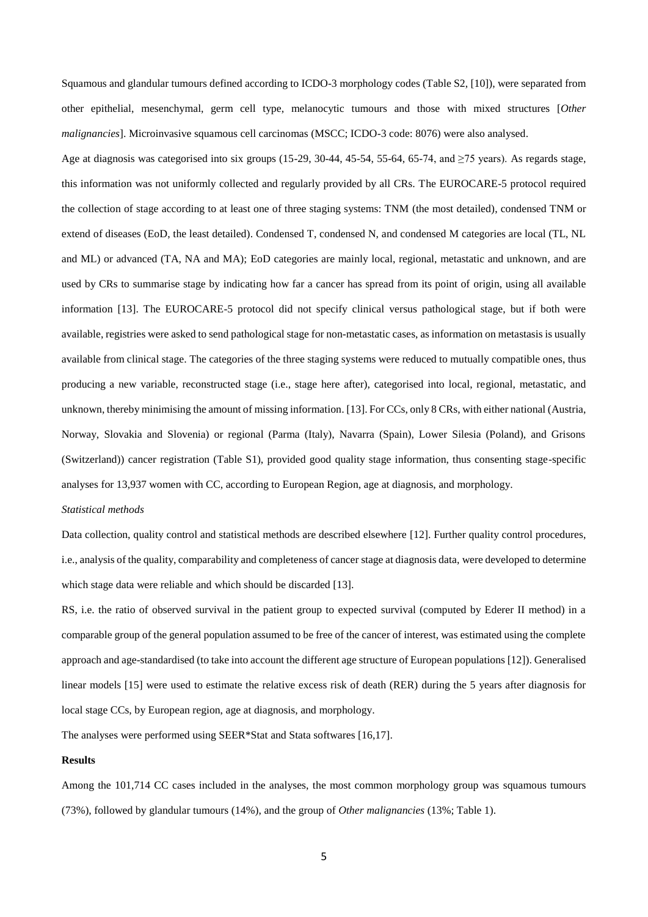Squamous and glandular tumours defined according to ICDO-3 morphology codes (Table S2, [10]), were separated from other epithelial, mesenchymal, germ cell type, melanocytic tumours and those with mixed structures [*Other malignancies*]. Microinvasive squamous cell carcinomas (MSCC; ICDO-3 code: 8076) were also analysed.

Age at diagnosis was categorised into six groups (15-29, 30-44, 45-54, 55-64, 65-74, and  $\geq$ 75 years). As regards stage, this information was not uniformly collected and regularly provided by all CRs. The EUROCARE-5 protocol required the collection of stage according to at least one of three staging systems: TNM (the most detailed), condensed TNM or extend of diseases (EoD, the least detailed). Condensed T, condensed N, and condensed M categories are local (TL, NL and ML) or advanced (TA, NA and MA); EoD categories are mainly local, regional, metastatic and unknown, and are used by CRs to summarise stage by indicating how far a cancer has spread from its point of origin, using all available information [13]. The EUROCARE-5 protocol did not specify clinical versus pathological stage, but if both were available, registries were asked to send pathological stage for non-metastatic cases, as information on metastasis is usually available from clinical stage. The categories of the three staging systems were reduced to mutually compatible ones, thus producing a new variable, reconstructed stage (i.e., stage here after), categorised into local, regional, metastatic, and unknown, thereby minimising the amount of missing information. [13]. For CCs, only 8 CRs, with either national (Austria, Norway, Slovakia and Slovenia) or regional (Parma (Italy), Navarra (Spain), Lower Silesia (Poland), and Grisons (Switzerland)) cancer registration (Table S1), provided good quality stage information, thus consenting stage-specific analyses for 13,937 women with CC, according to European Region, age at diagnosis, and morphology.

## *Statistical methods*

Data collection, quality control and statistical methods are described elsewhere [12]. Further quality control procedures, i.e., analysis of the quality, comparability and completeness of cancer stage at diagnosis data, were developed to determine which stage data were reliable and which should be discarded [13].

RS, i.e. the ratio of observed survival in the patient group to expected survival (computed by Ederer II method) in a comparable group of the general population assumed to be free of the cancer of interest, was estimated using the complete approach and age-standardised (to take into account the different age structure of European populations [12]). Generalised linear models [15] were used to estimate the relative excess risk of death (RER) during the 5 years after diagnosis for local stage CCs, by European region, age at diagnosis, and morphology.

The analyses were performed using SEER\*Stat and Stata softwares [16,17].

#### **Results**

Among the 101,714 CC cases included in the analyses, the most common morphology group was squamous tumours (73%), followed by glandular tumours (14%), and the group of *Other malignancies* (13%; Table 1).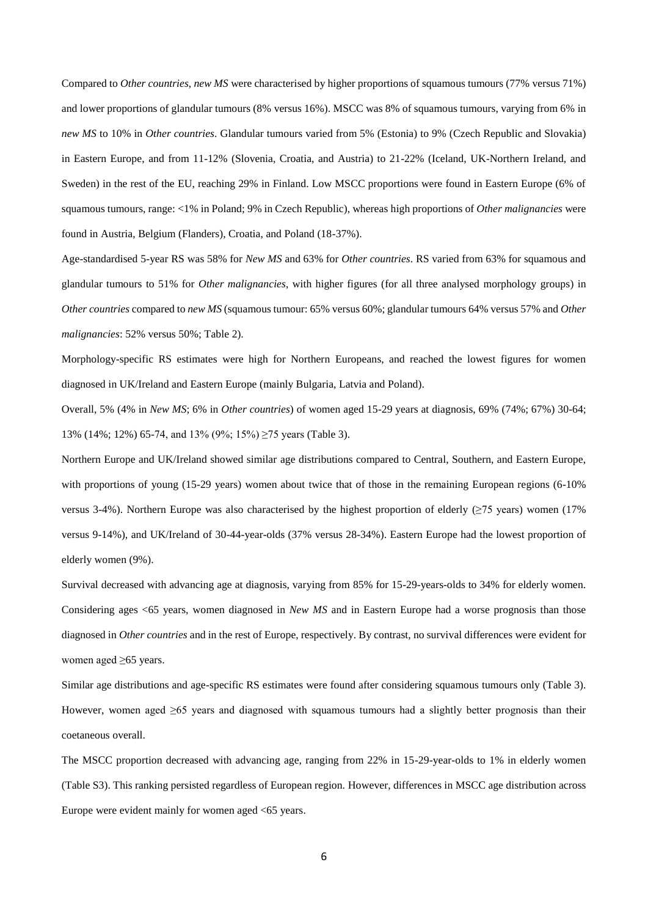Compared to *Other countries*, *new MS* were characterised by higher proportions of squamous tumours (77% versus 71%) and lower proportions of glandular tumours (8% versus 16%). MSCC was 8% of squamous tumours, varying from 6% in *new MS* to 10% in *Other countries*. Glandular tumours varied from 5% (Estonia) to 9% (Czech Republic and Slovakia) in Eastern Europe, and from 11-12% (Slovenia, Croatia, and Austria) to 21-22% (Iceland, UK-Northern Ireland, and Sweden) in the rest of the EU, reaching 29% in Finland. Low MSCC proportions were found in Eastern Europe (6% of squamous tumours, range: <1% in Poland; 9% in Czech Republic), whereas high proportions of *Other malignancies* were found in Austria, Belgium (Flanders), Croatia, and Poland (18-37%).

Age-standardised 5-year RS was 58% for *New MS* and 63% for *Other countries*. RS varied from 63% for squamous and glandular tumours to 51% for *Other malignancies*, with higher figures (for all three analysed morphology groups) in *Other countries* compared to *new MS* (squamous tumour: 65% versus 60%; glandular tumours 64% versus 57% and *Other malignancies*: 52% versus 50%; Table 2).

Morphology-specific RS estimates were high for Northern Europeans, and reached the lowest figures for women diagnosed in UK/Ireland and Eastern Europe (mainly Bulgaria, Latvia and Poland).

Overall, 5% (4% in *New MS*; 6% in *Other countries*) of women aged 15-29 years at diagnosis, 69% (74%; 67%) 30-64; 13% (14%; 12%) 65-74, and 13% (9%; 15%) ≥75 years (Table 3).

Northern Europe and UK/Ireland showed similar age distributions compared to Central, Southern, and Eastern Europe, with proportions of young (15-29 years) women about twice that of those in the remaining European regions (6-10%) versus 3-4%). Northern Europe was also characterised by the highest proportion of elderly ( $\geq$ 75 years) women (17%) versus 9-14%), and UK/Ireland of 30-44-year-olds (37% versus 28-34%). Eastern Europe had the lowest proportion of elderly women (9%).

Survival decreased with advancing age at diagnosis, varying from 85% for 15-29-years-olds to 34% for elderly women. Considering ages <65 years, women diagnosed in *New MS* and in Eastern Europe had a worse prognosis than those diagnosed in *Other countries* and in the rest of Europe, respectively. By contrast, no survival differences were evident for women aged ≥65 years.

Similar age distributions and age-specific RS estimates were found after considering squamous tumours only (Table 3). However, women aged ≥65 years and diagnosed with squamous tumours had a slightly better prognosis than their coetaneous overall.

The MSCC proportion decreased with advancing age, ranging from 22% in 15-29-year-olds to 1% in elderly women (Table S3). This ranking persisted regardless of European region. However, differences in MSCC age distribution across Europe were evident mainly for women aged <65 years.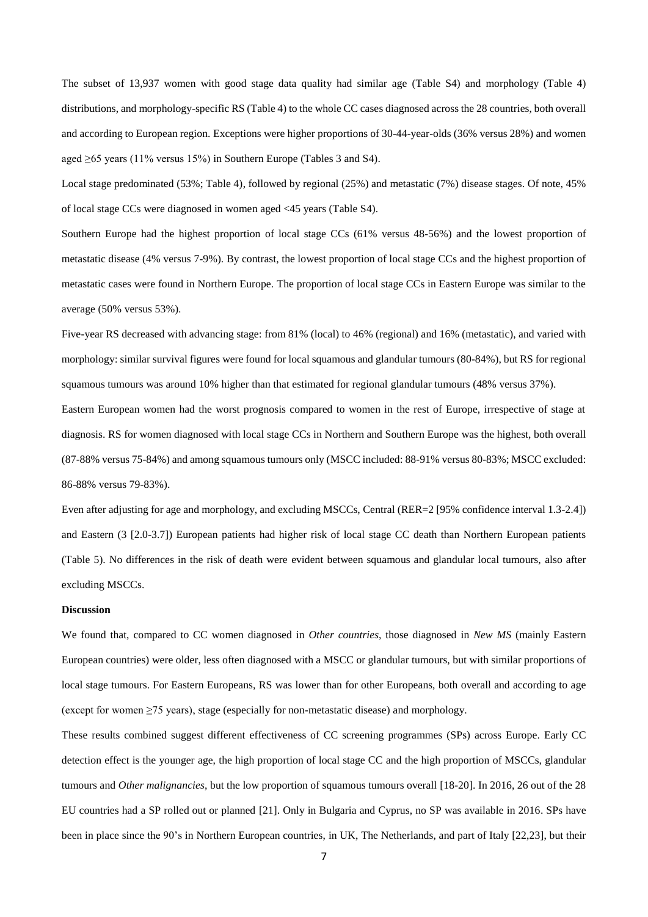The subset of 13,937 women with good stage data quality had similar age (Table S4) and morphology (Table 4) distributions, and morphology-specific RS (Table 4) to the whole CC cases diagnosed across the 28 countries, both overall and according to European region. Exceptions were higher proportions of 30-44-year-olds (36% versus 28%) and women aged ≥65 years (11% versus 15%) in Southern Europe (Tables 3 and S4).

Local stage predominated (53%; Table 4), followed by regional (25%) and metastatic (7%) disease stages. Of note, 45% of local stage CCs were diagnosed in women aged <45 years (Table S4).

Southern Europe had the highest proportion of local stage CCs (61% versus 48-56%) and the lowest proportion of metastatic disease (4% versus 7-9%). By contrast, the lowest proportion of local stage CCs and the highest proportion of metastatic cases were found in Northern Europe. The proportion of local stage CCs in Eastern Europe was similar to the average (50% versus 53%).

Five-year RS decreased with advancing stage: from 81% (local) to 46% (regional) and 16% (metastatic), and varied with morphology: similar survival figures were found for local squamous and glandular tumours (80-84%), but RS for regional squamous tumours was around 10% higher than that estimated for regional glandular tumours (48% versus 37%).

Eastern European women had the worst prognosis compared to women in the rest of Europe, irrespective of stage at diagnosis. RS for women diagnosed with local stage CCs in Northern and Southern Europe was the highest, both overall (87-88% versus 75-84%) and among squamous tumours only (MSCC included: 88-91% versus 80-83%; MSCC excluded: 86-88% versus 79-83%).

Even after adjusting for age and morphology, and excluding MSCCs, Central (RER=2 [95% confidence interval 1.3-2.4]) and Eastern (3 [2.0-3.7]) European patients had higher risk of local stage CC death than Northern European patients (Table 5). No differences in the risk of death were evident between squamous and glandular local tumours, also after excluding MSCCs.

## **Discussion**

We found that, compared to CC women diagnosed in *Other countries*, those diagnosed in *New MS* (mainly Eastern European countries) were older, less often diagnosed with a MSCC or glandular tumours, but with similar proportions of local stage tumours. For Eastern Europeans, RS was lower than for other Europeans, both overall and according to age (except for women ≥75 years), stage (especially for non-metastatic disease) and morphology.

These results combined suggest different effectiveness of CC screening programmes (SPs) across Europe. Early CC detection effect is the younger age, the high proportion of local stage CC and the high proportion of MSCCs, glandular tumours and *Other malignancies*, but the low proportion of squamous tumours overall [18-20]. In 2016, 26 out of the 28 EU countries had a SP rolled out or planned [21]. Only in Bulgaria and Cyprus, no SP was available in 2016. SPs have been in place since the 90's in Northern European countries, in UK, The Netherlands, and part of Italy [22,23], but their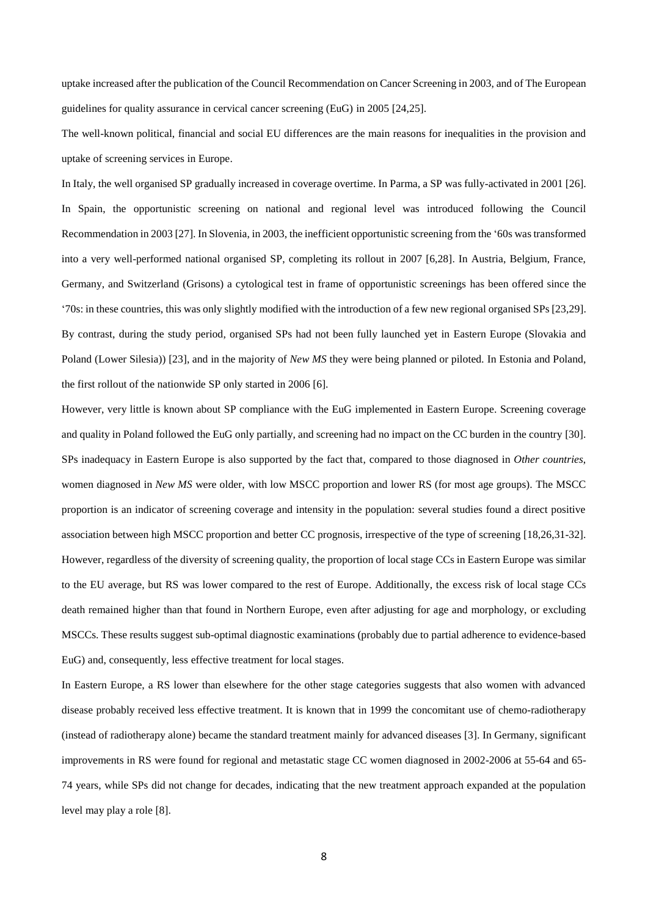uptake increased after the publication of the Council Recommendation on Cancer Screening in 2003, and of The European guidelines for quality assurance in cervical cancer screening (EuG) in 2005 [24,25].

The well-known political, financial and social EU differences are the main reasons for inequalities in the provision and uptake of screening services in Europe.

In Italy, the well organised SP gradually increased in coverage overtime. In Parma, a SP was fully-activated in 2001 [26]. In Spain, the opportunistic screening on national and regional level was introduced following the Council Recommendation in 2003 [27]. In Slovenia, in 2003, the inefficient opportunistic screening from the '60s was transformed into a very well-performed national organised SP, completing its rollout in 2007 [6,28]. In Austria, Belgium, France, Germany, and Switzerland (Grisons) a cytological test in frame of opportunistic screenings has been offered since the '70s: in these countries, this was only slightly modified with the introduction of a few new regional organised SPs [23,29]. By contrast, during the study period, organised SPs had not been fully launched yet in Eastern Europe (Slovakia and Poland (Lower Silesia)) [23], and in the majority of *New MS* they were being planned or piloted*.* In Estonia and Poland, the first rollout of the nationwide SP only started in 2006 [6].

However, very little is known about SP compliance with the EuG implemented in Eastern Europe. Screening coverage and quality in Poland followed the EuG only partially, and screening had no impact on the CC burden in the country [30]. SPs inadequacy in Eastern Europe is also supported by the fact that, compared to those diagnosed in *Other countries*, women diagnosed in *New MS* were older, with low MSCC proportion and lower RS (for most age groups). The MSCC proportion is an indicator of screening coverage and intensity in the population: several studies found a direct positive association between high MSCC proportion and better CC prognosis, irrespective of the type of screening [18,26,31-32]. However, regardless of the diversity of screening quality, the proportion of local stage CCs in Eastern Europe was similar to the EU average, but RS was lower compared to the rest of Europe. Additionally, the excess risk of local stage CCs death remained higher than that found in Northern Europe, even after adjusting for age and morphology, or excluding MSCCs. These results suggest sub-optimal diagnostic examinations (probably due to partial adherence to evidence-based EuG) and, consequently, less effective treatment for local stages.

In Eastern Europe, a RS lower than elsewhere for the other stage categories suggests that also women with advanced disease probably received less effective treatment. It is known that in 1999 the concomitant use of chemo-radiotherapy (instead of radiotherapy alone) became the standard treatment mainly for advanced diseases [3]. In Germany, significant improvements in RS were found for regional and metastatic stage CC women diagnosed in 2002-2006 at 55-64 and 65- 74 years, while SPs did not change for decades, indicating that the new treatment approach expanded at the population level may play a role [8].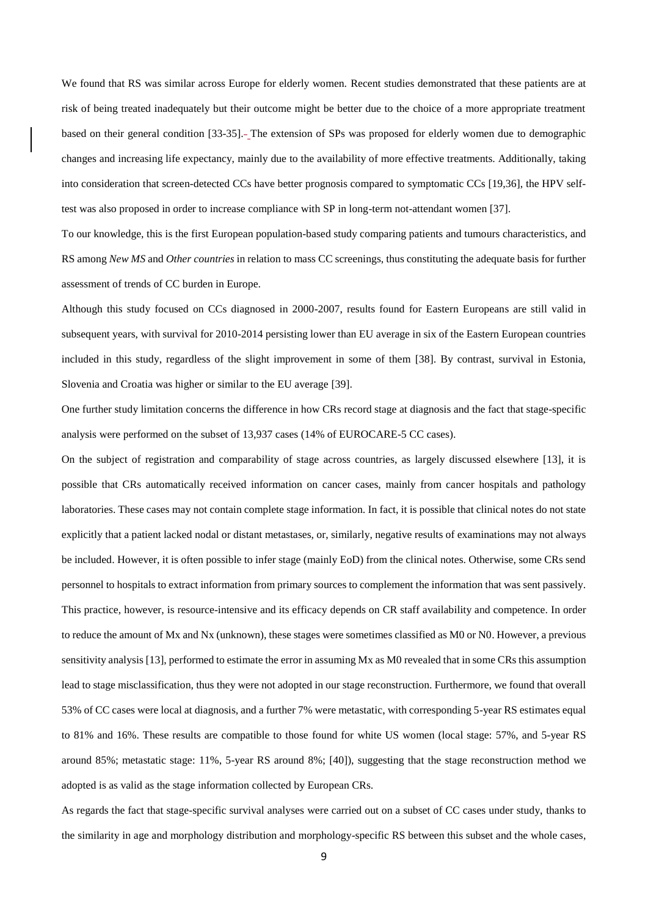We found that RS was similar across Europe for elderly women. Recent studies demonstrated that these patients are at risk of being treated inadequately but their outcome might be better due to the choice of a more appropriate treatment based on their general condition [33-35]. The extension of SPs was proposed for elderly women due to demographic changes and increasing life expectancy, mainly due to the availability of more effective treatments. Additionally, taking into consideration that screen-detected CCs have better prognosis compared to symptomatic CCs [19,36], the HPV selftest was also proposed in order to increase compliance with SP in long-term not-attendant women [37].

To our knowledge, this is the first European population-based study comparing patients and tumours characteristics, and RS among *New MS* and *Other countries* in relation to mass CC screenings, thus constituting the adequate basis for further assessment of trends of CC burden in Europe.

Although this study focused on CCs diagnosed in 2000-2007, results found for Eastern Europeans are still valid in subsequent years, with survival for 2010-2014 persisting lower than EU average in six of the Eastern European countries included in this study, regardless of the slight improvement in some of them [38]. By contrast, survival in Estonia, Slovenia and Croatia was higher or similar to the EU average [39].

One further study limitation concerns the difference in how CRs record stage at diagnosis and the fact that stage-specific analysis were performed on the subset of 13,937 cases (14% of EUROCARE-5 CC cases).

On the subject of registration and comparability of stage across countries, as largely discussed elsewhere [13], it is possible that CRs automatically received information on cancer cases, mainly from cancer hospitals and pathology laboratories. These cases may not contain complete stage information. In fact, it is possible that clinical notes do not state explicitly that a patient lacked nodal or distant metastases, or, similarly, negative results of examinations may not always be included. However, it is often possible to infer stage (mainly EoD) from the clinical notes. Otherwise, some CRs send personnel to hospitals to extract information from primary sources to complement the information that was sent passively. This practice, however, is resource-intensive and its efficacy depends on CR staff availability and competence. In order to reduce the amount of Mx and Nx (unknown), these stages were sometimes classified as M0 or N0. However, a previous sensitivity analysis [13], performed to estimate the error in assuming Mx as M0 revealed that in some CRs this assumption lead to stage misclassification, thus they were not adopted in our stage reconstruction. Furthermore, we found that overall 53% of CC cases were local at diagnosis, and a further 7% were metastatic, with corresponding 5-year RS estimates equal to 81% and 16%. These results are compatible to those found for white US women (local stage: 57%, and 5-year RS around 85%; metastatic stage: 11%, 5-year RS around 8%; [40]), suggesting that the stage reconstruction method we adopted is as valid as the stage information collected by European CRs.

As regards the fact that stage-specific survival analyses were carried out on a subset of CC cases under study, thanks to the similarity in age and morphology distribution and morphology-specific RS between this subset and the whole cases,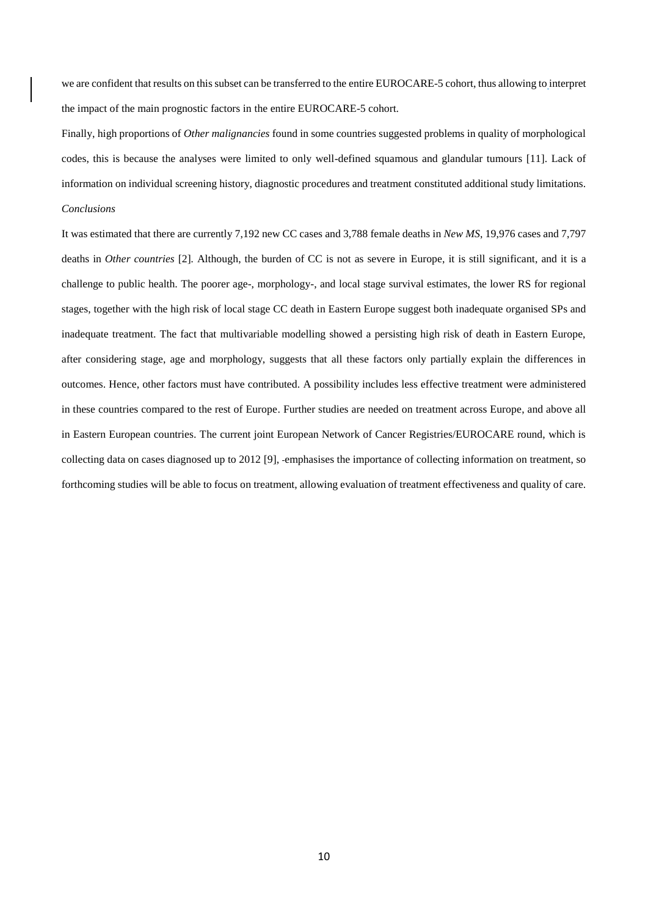we are confident that results on this subset can be transferred to the entire EUROCARE-5 cohort, thus allowing to interpret the impact of the main prognostic factors in the entire EUROCARE-5 cohort.

Finally, high proportions of *Other malignancies* found in some countries suggested problems in quality of morphological codes, this is because the analyses were limited to only well-defined squamous and glandular tumours [11]. Lack of information on individual screening history, diagnostic procedures and treatment constituted additional study limitations. *Conclusions*

It was estimated that there are currently 7,192 new CC cases and 3,788 female deaths in *New MS*, 19,976 cases and 7,797 deaths in *Other countries* [2]*.* Although, the burden of CC is not as severe in Europe, it is still significant, and it is a challenge to public health. The poorer age-, morphology-, and local stage survival estimates, the lower RS for regional stages, together with the high risk of local stage CC death in Eastern Europe suggest both inadequate organised SPs and inadequate treatment. The fact that multivariable modelling showed a persisting high risk of death in Eastern Europe, after considering stage, age and morphology, suggests that all these factors only partially explain the differences in outcomes. Hence, other factors must have contributed. A possibility includes less effective treatment were administered in these countries compared to the rest of Europe. Further studies are needed on treatment across Europe, and above all in Eastern European countries. The current joint European Network of Cancer Registries/EUROCARE round, which is collecting data on cases diagnosed up to 2012 [9], emphasises the importance of collecting information on treatment, so forthcoming studies will be able to focus on treatment, allowing evaluation of treatment effectiveness and quality of care.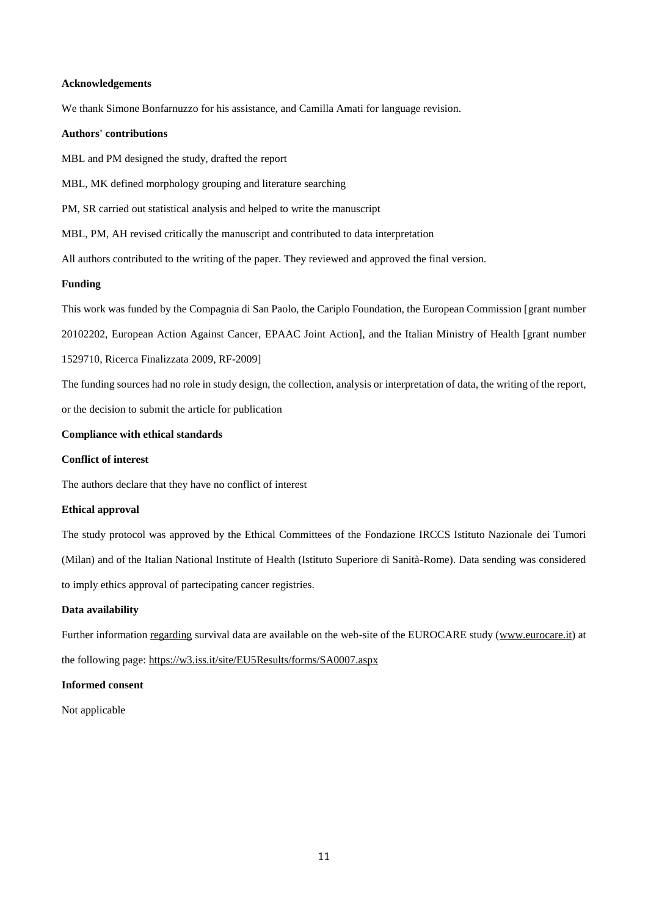# **Acknowledgements**

We thank Simone Bonfarnuzzo for his assistance, and Camilla Amati for language revision.

## **Authors' contributions**

MBL and PM designed the study, drafted the report

MBL, MK defined morphology grouping and literature searching

PM, SR carried out statistical analysis and helped to write the manuscript

MBL, PM, AH revised critically the manuscript and contributed to data interpretation

All authors contributed to the writing of the paper. They reviewed and approved the final version.

# **Funding**

This work was funded by the Compagnia di San Paolo, the Cariplo Foundation, the European Commission [grant number

20102202, European Action Against Cancer, EPAAC Joint Action], and the Italian Ministry of Health [grant number

1529710, Ricerca Finalizzata 2009, RF-2009]

The funding sources had no role in study design, the collection, analysis or interpretation of data, the writing of the report,

or the decision to submit the article for publication

# **Compliance with ethical standards**

# **Conflict of interest**

The authors declare that they have no conflict of interest

## **Ethical approval**

The study protocol was approved by the Ethical Committees of the Fondazione IRCCS Istituto Nazionale dei Tumori (Milan) and of the Italian National Institute of Health (Istituto Superiore di Sanità-Rome). Data sending was considered to imply ethics approval of partecipating cancer registries.

## **Data availability**

Further information [regarding](http://regarding/) survival data are available on the web-site of the EUROCARE study [\(www.eurocare.it\)](http://www.eurocare.it/) at the following page:<https://w3.iss.it/site/EU5Results/forms/SA0007.aspx>

# **Informed consent**

Not applicable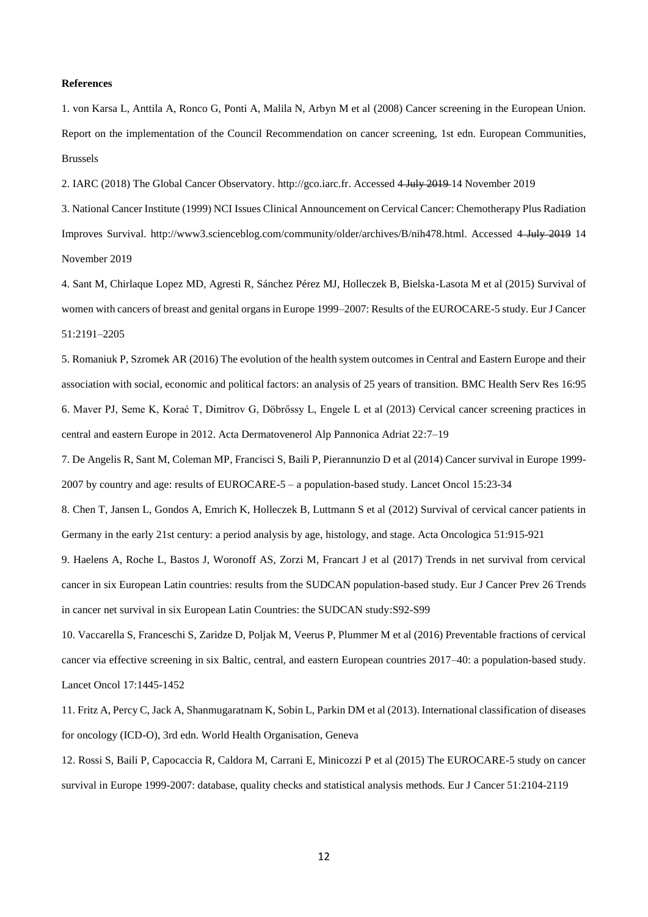# **References**

1. von Karsa L, Anttila A, Ronco G, Ponti A, Malila N, Arbyn M et al (2008) Cancer screening in the European Union. Report on the implementation of the Council Recommendation on cancer screening, 1st edn. European Communities, Brussels

2. IARC (2018) The Global Cancer Observatory. http://gco.iarc.fr. Accessed 4 July 2019 14 November 2019

3. National Cancer Institute (1999) NCI Issues Clinical Announcement on Cervical Cancer: Chemotherapy Plus Radiation Improves Survival. http://www3.scienceblog.com/community/older/archives/B/nih478.html. Accessed 4 July 2019 14 November 2019

4. Sant M, Chirlaque Lopez MD, Agresti R, Sánchez Pérez MJ, Holleczek B, Bielska-Lasota M et al (2015) Survival of women with cancers of breast and genital organs in Europe 1999–2007: Results of the EUROCARE-5 study. Eur J Cancer 51:2191–2205

5. Romaniuk P, Szromek AR (2016) The evolution of the health system outcomes in Central and Eastern Europe and their association with social, economic and political factors: an analysis of 25 years of transition. BMC Health Serv Res 16:95 6. Maver PJ, Seme K, Korać T, Dimitrov G, Döbrőssy L, Engele L et al (2013) Cervical cancer screening practices in central and eastern Europe in 2012. Acta Dermatovenerol Alp Pannonica Adriat 22:7–19

7. De Angelis R, Sant M, Coleman MP, Francisci S, Baili P, Pierannunzio D et al (2014) Cancer survival in Europe 1999- 2007 by country and age: results of EUROCARE-5 – a population-based study. Lancet Oncol 15:23-34

8. Chen T, Jansen L, Gondos A, Emrich K, Holleczek B, Luttmann S et al (2012) Survival of cervical cancer patients in Germany in the early 21st century: a period analysis by age, histology, and stage. Acta Oncologica 51:915-921

9. Haelens A, Roche L, Bastos J, Woronoff AS, Zorzi M, Francart J et al (2017) Trends in net survival from cervical cancer in six European Latin countries: results from the SUDCAN population-based study. Eur J Cancer Prev 26 Trends in cancer net survival in six European Latin Countries: the SUDCAN study:S92-S99

10. Vaccarella S, Franceschi S, Zaridze D, Poljak M, Veerus P, Plummer M et al (2016) Preventable fractions of cervical cancer via effective screening in six Baltic, central, and eastern European countries 2017–40: a population-based study. Lancet Oncol 17:1445-1452

11. Fritz A, Percy C, Jack A, Shanmugaratnam K, Sobin L, Parkin DM et al (2013). International classification of diseases for oncology (ICD-O), 3rd edn. World Health Organisation, Geneva

12. Rossi S, Baili P, Capocaccia R, Caldora M, Carrani E, Minicozzi P et al (2015) The EUROCARE-5 study on cancer survival in Europe 1999-2007: database, quality checks and statistical analysis methods. Eur J Cancer 51:2104-2119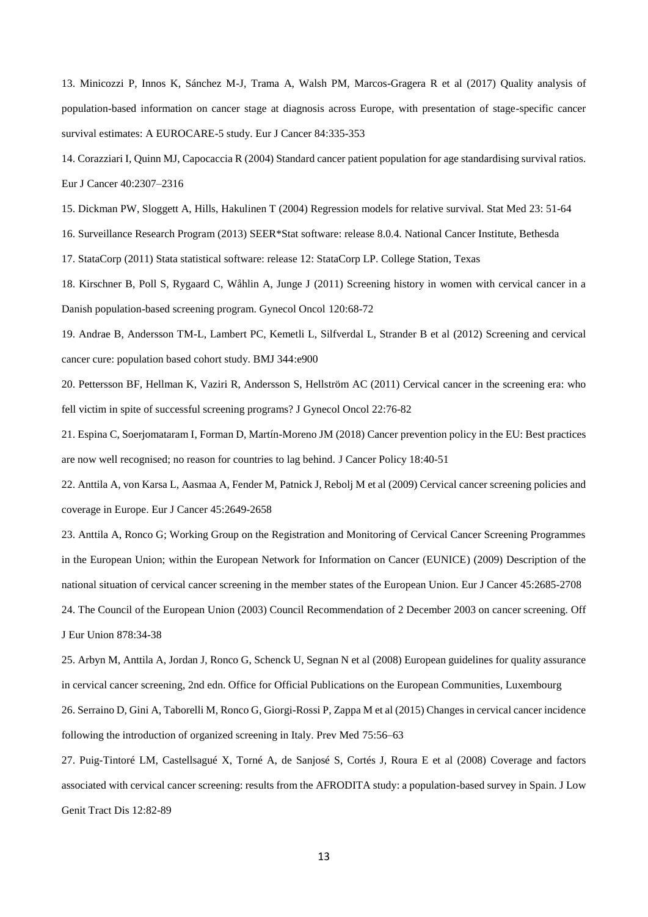13. Minicozzi P, Innos K, Sánchez M-J, Trama A, Walsh PM, Marcos-Gragera R et al (2017) Quality analysis of population-based information on cancer stage at diagnosis across Europe, with presentation of stage-specific cancer survival estimates: A EUROCARE-5 study. Eur J Cancer 84:335-353

14. Corazziari I, Quinn MJ, Capocaccia R (2004) Standard cancer patient population for age standardising survival ratios. Eur J Cancer 40:2307–2316

15. Dickman PW, Sloggett A, Hills, Hakulinen T (2004) Regression models for relative survival. Stat Med 23: 51-64

16. Surveillance Research Program (2013) SEER\*Stat software: release 8.0.4. National Cancer Institute, Bethesda

17. StataCorp (2011) Stata statistical software: release 12: StataCorp LP. College Station, Texas

18. Kirschner B, Poll S, Rygaard C, Wåhlin A, Junge J (2011) Screening history in women with cervical cancer in a Danish population-based screening program. Gynecol Oncol 120:68-72

19. Andrae B, Andersson TM-L, Lambert PC, Kemetli L, Silfverdal L, Strander B et al (2012) Screening and cervical cancer cure: population based cohort study. BMJ 344:e900

20. Pettersson BF, Hellman K, Vaziri R, Andersson S, Hellström AC (2011) Cervical cancer in the screening era: who fell victim in spite of successful screening programs? J Gynecol Oncol 22:76-82

21. Espina C, Soerjomataram I, Forman D, Martín-Moreno JM (2018) Cancer prevention policy in the EU: Best practices are now well recognised; no reason for countries to lag behind. J Cancer Policy 18:40-51

22. Anttila A, von Karsa L, Aasmaa A, Fender M, Patnick J, Rebolj M et al (2009) Cervical cancer screening policies and coverage in Europe. Eur J Cancer 45:2649-2658

23. Anttila A, Ronco G; Working Group on the Registration and Monitoring of Cervical Cancer Screening Programmes in the European Union; within the European Network for Information on Cancer (EUNICE) (2009) Description of the national situation of cervical cancer screening in the member states of the European Union. Eur J Cancer 45:2685-2708 24. The Council of the European Union (2003) Council Recommendation of 2 December 2003 on cancer screening. Off J Eur Union 878:34-38

25. Arbyn M, Anttila A, Jordan J, Ronco G, Schenck U, Segnan N et al (2008) European guidelines for quality assurance in cervical cancer screening, 2nd edn. Office for Official Publications on the European Communities, Luxembourg 26. Serraino D, Gini A, Taborelli M, Ronco G, Giorgi-Rossi P, Zappa M et al (2015) Changes in cervical cancer incidence following the introduction of organized screening in Italy. Prev Med 75:56–63

27. Puig-Tintoré LM, Castellsagué X, Torné A, de Sanjosé S, Cortés J, Roura E et al (2008) Coverage and factors associated with cervical cancer screening: results from the AFRODITA study: a population-based survey in Spain. J Low Genit Tract Dis 12:82-89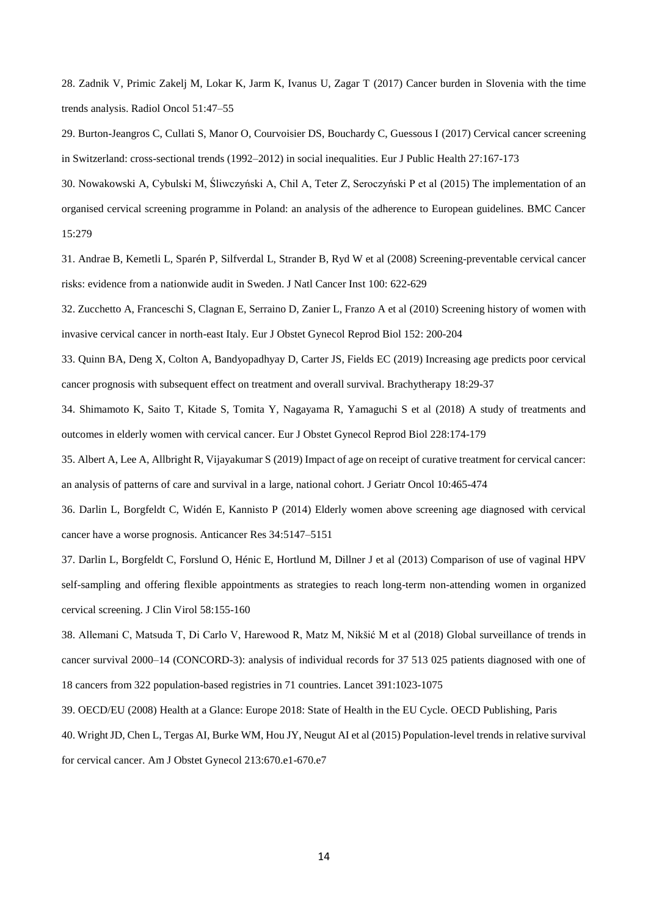28. Zadnik V, Primic Zakelj M, Lokar K, Jarm K, Ivanus U, Zagar T (2017) Cancer burden in Slovenia with the time trends analysis. Radiol Oncol 51:47–55

29. Burton-Jeangros C, Cullati S, Manor O, Courvoisier DS, Bouchardy C, Guessous I (2017) Cervical cancer screening in Switzerland: cross-sectional trends (1992–2012) in social inequalities. Eur J Public Health 27:167-173

30. Nowakowski A, Cybulski M, Śliwczyński A, Chil A, Teter Z, Seroczyński P et al (2015) The implementation of an organised cervical screening programme in Poland: an analysis of the adherence to European guidelines. BMC Cancer 15:279

31. Andrae B, Kemetli L, Sparén P, Silfverdal L, Strander B, Ryd W et al (2008) Screening-preventable cervical cancer risks: evidence from a nationwide audit in Sweden. J Natl Cancer Inst 100: 622-629

32. Zucchetto A, Franceschi S, Clagnan E, Serraino D, Zanier L, Franzo A et al (2010) Screening history of women with invasive cervical cancer in north-east Italy. Eur J Obstet Gynecol Reprod Biol 152: 200-204

33. Quinn BA, Deng X, Colton A, Bandyopadhyay D, Carter JS, Fields EC (2019) Increasing age predicts poor cervical cancer prognosis with subsequent effect on treatment and overall survival. Brachytherapy 18:29-37

34. Shimamoto K, Saito T, Kitade S, Tomita Y, Nagayama R, Yamaguchi S et al (2018) A study of treatments and outcomes in elderly women with cervical cancer. Eur J Obstet Gynecol Reprod Biol 228:174-179

35. Albert A, Lee A, Allbright R, Vijayakumar S (2019) Impact of age on receipt of curative treatment for cervical cancer: an analysis of patterns of care and survival in a large, national cohort. J Geriatr Oncol 10:465-474

36. Darlin L, Borgfeldt C, Widén E, Kannisto P (2014) Elderly women above screening age diagnosed with cervical cancer have a worse prognosis. Anticancer Res 34:5147–5151

37. Darlin L, Borgfeldt C, Forslund O, Hénic E, Hortlund M, Dillner J et al (2013) Comparison of use of vaginal HPV self-sampling and offering flexible appointments as strategies to reach long-term non-attending women in organized cervical screening. J Clin Virol 58:155-160

38. Allemani C, Matsuda T, Di Carlo V, Harewood R, Matz M, Nikšić M et al (2018) Global surveillance of trends in cancer survival 2000–14 (CONCORD-3): analysis of individual records for 37 513 025 patients diagnosed with one of 18 cancers from 322 population-based registries in 71 countries. Lancet 391:1023-1075

39. OECD/EU (2008) Health at a Glance: Europe 2018: State of Health in the EU Cycle. OECD Publishing, Paris

40. Wright JD, Chen L, Tergas AI, Burke WM, Hou JY, Neugut AI et al (2015) Population-level trends in relative survival for cervical cancer. Am J Obstet Gynecol 213:670.e1-670.e7